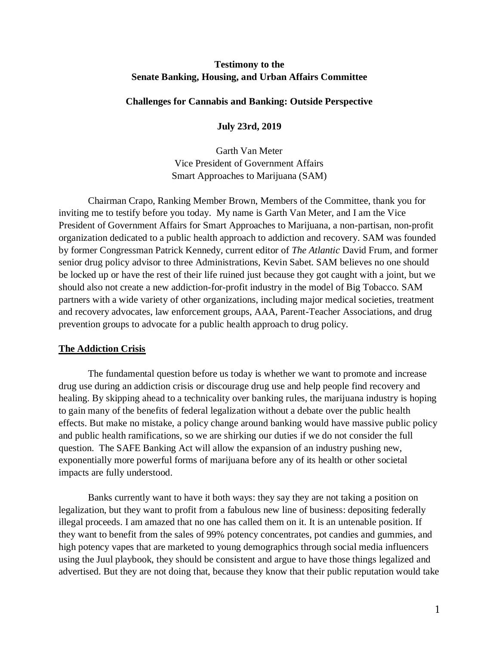# **Testimony to the Senate Banking, Housing, and Urban Affairs Committee**

### **Challenges for Cannabis and Banking: Outside Perspective**

**July 23rd, 2019**

Garth Van Meter Vice President of Government Affairs Smart Approaches to Marijuana (SAM)

Chairman Crapo, Ranking Member Brown, Members of the Committee, thank you for inviting me to testify before you today. My name is Garth Van Meter, and I am the Vice President of Government Affairs for Smart Approaches to Marijuana, a non-partisan, non-profit organization dedicated to a public health approach to addiction and recovery. SAM was founded by former Congressman Patrick Kennedy, current editor of *The Atlantic* David Frum, and former senior drug policy advisor to three Administrations, Kevin Sabet. SAM believes no one should be locked up or have the rest of their life ruined just because they got caught with a joint, but we should also not create a new addiction-for-profit industry in the model of Big Tobacco. SAM partners with a wide variety of other organizations, including major medical societies, treatment and recovery advocates, law enforcement groups, AAA, Parent-Teacher Associations, and drug prevention groups to advocate for a public health approach to drug policy.

### **The Addiction Crisis**

The fundamental question before us today is whether we want to promote and increase drug use during an addiction crisis or discourage drug use and help people find recovery and healing. By skipping ahead to a technicality over banking rules, the marijuana industry is hoping to gain many of the benefits of federal legalization without a debate over the public health effects. But make no mistake, a policy change around banking would have massive public policy and public health ramifications, so we are shirking our duties if we do not consider the full question. The SAFE Banking Act will allow the expansion of an industry pushing new, exponentially more powerful forms of marijuana before any of its health or other societal impacts are fully understood.

Banks currently want to have it both ways: they say they are not taking a position on legalization, but they want to profit from a fabulous new line of business: depositing federally illegal proceeds. I am amazed that no one has called them on it. It is an untenable position. If they want to benefit from the sales of 99% potency concentrates, pot candies and gummies, and high potency vapes that are marketed to young demographics through social media influencers using the Juul playbook, they should be consistent and argue to have those things legalized and advertised. But they are not doing that, because they know that their public reputation would take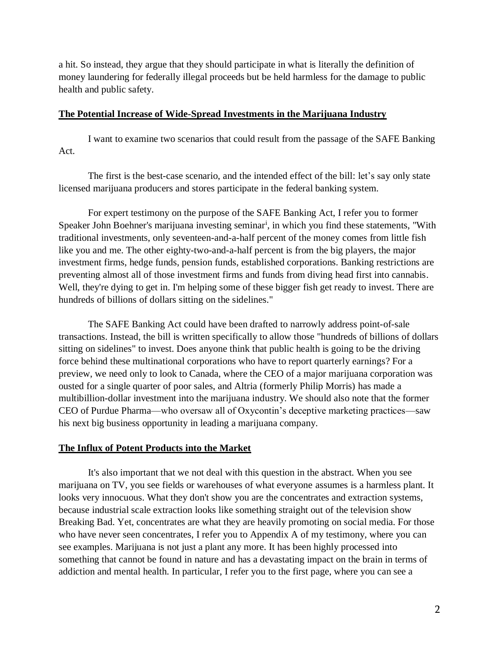a hit. So instead, they argue that they should participate in what is literally the definition of money laundering for federally illegal proceeds but be held harmless for the damage to public health and public safety.

### **The Potential Increase of Wide-Spread Investments in the Marijuana Industry**

I want to examine two scenarios that could result from the passage of the SAFE Banking Act.

The first is the best-case scenario, and the intended effect of the bill: let's say only state licensed marijuana producers and stores participate in the federal banking system.

For expert testimony on the purpose of the SAFE Banking Act, I refer you to former Speaker John Boehner's marijuana investing seminar<sup>i</sup>, in which you find these statements, "With traditional investments, only seventeen-and-a-half percent of the money comes from little fish like you and me. The other eighty-two-and-a-half percent is from the big players, the major investment firms, hedge funds, pension funds, established corporations. Banking restrictions are preventing almost all of those investment firms and funds from diving head first into cannabis. Well, they're dying to get in. I'm helping some of these bigger fish get ready to invest. There are hundreds of billions of dollars sitting on the sidelines."

The SAFE Banking Act could have been drafted to narrowly address point-of-sale transactions. Instead, the bill is written specifically to allow those "hundreds of billions of dollars sitting on sidelines" to invest. Does anyone think that public health is going to be the driving force behind these multinational corporations who have to report quarterly earnings? For a preview, we need only to look to Canada, where the CEO of a major marijuana corporation was ousted for a single quarter of poor sales, and Altria (formerly Philip Morris) has made a multibillion-dollar investment into the marijuana industry. We should also note that the former CEO of Purdue Pharma—who oversaw all of Oxycontin's deceptive marketing practices—saw his next big business opportunity in leading a marijuana company.

## **The Influx of Potent Products into the Market**

It's also important that we not deal with this question in the abstract. When you see marijuana on TV, you see fields or warehouses of what everyone assumes is a harmless plant. It looks very innocuous. What they don't show you are the concentrates and extraction systems, because industrial scale extraction looks like something straight out of the television show Breaking Bad. Yet, concentrates are what they are heavily promoting on social media. For those who have never seen concentrates, I refer you to Appendix A of my testimony, where you can see examples. Marijuana is not just a plant any more. It has been highly processed into something that cannot be found in nature and has a devastating impact on the brain in terms of addiction and mental health. In particular, I refer you to the first page, where you can see a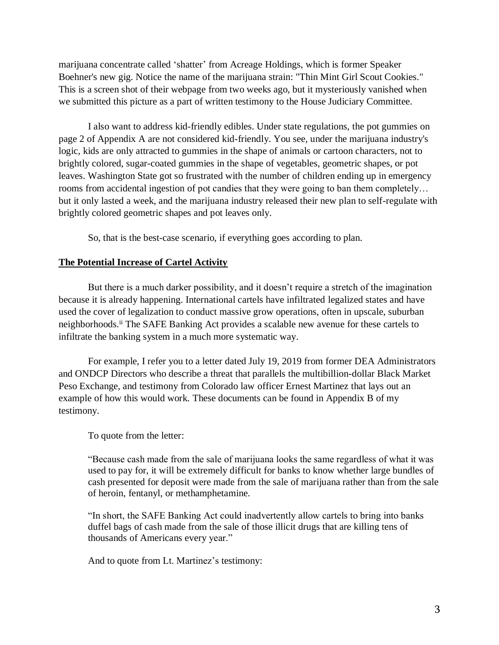marijuana concentrate called 'shatter' from Acreage Holdings, which is former Speaker Boehner's new gig. Notice the name of the marijuana strain: "Thin Mint Girl Scout Cookies." This is a screen shot of their webpage from two weeks ago, but it mysteriously vanished when we submitted this picture as a part of written testimony to the House Judiciary Committee.

I also want to address kid-friendly edibles. Under state regulations, the pot gummies on page 2 of Appendix A are not considered kid-friendly. You see, under the marijuana industry's logic, kids are only attracted to gummies in the shape of animals or cartoon characters, not to brightly colored, sugar-coated gummies in the shape of vegetables, geometric shapes, or pot leaves. Washington State got so frustrated with the number of children ending up in emergency rooms from accidental ingestion of pot candies that they were going to ban them completely… but it only lasted a week, and the marijuana industry released their new plan to self-regulate with brightly colored geometric shapes and pot leaves only.

So, that is the best-case scenario, if everything goes according to plan.

### **The Potential Increase of Cartel Activity**

But there is a much darker possibility, and it doesn't require a stretch of the imagination because it is already happening. International cartels have infiltrated legalized states and have used the cover of legalization to conduct massive grow operations, often in upscale, suburban neighborhoods.ii The SAFE Banking Act provides a scalable new avenue for these cartels to infiltrate the banking system in a much more systematic way.

For example, I refer you to a letter dated July 19, 2019 from former DEA Administrators and ONDCP Directors who describe a threat that parallels the multibillion-dollar Black Market Peso Exchange, and testimony from Colorado law officer Ernest Martinez that lays out an example of how this would work. These documents can be found in Appendix B of my testimony.

### To quote from the letter:

"Because cash made from the sale of marijuana looks the same regardless of what it was used to pay for, it will be extremely difficult for banks to know whether large bundles of cash presented for deposit were made from the sale of marijuana rather than from the sale of heroin, fentanyl, or methamphetamine.

"In short, the SAFE Banking Act could inadvertently allow cartels to bring into banks duffel bags of cash made from the sale of those illicit drugs that are killing tens of thousands of Americans every year."

And to quote from Lt. Martinez's testimony: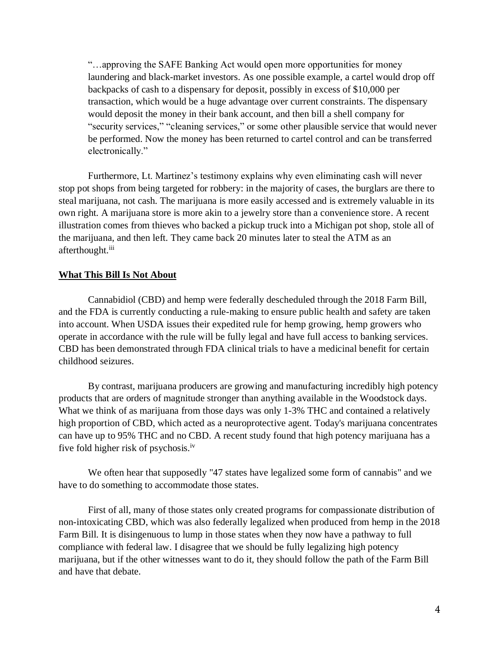"…approving the SAFE Banking Act would open more opportunities for money laundering and black-market investors. As one possible example, a cartel would drop off backpacks of cash to a dispensary for deposit, possibly in excess of \$10,000 per transaction, which would be a huge advantage over current constraints. The dispensary would deposit the money in their bank account, and then bill a shell company for "security services," "cleaning services," or some other plausible service that would never be performed. Now the money has been returned to cartel control and can be transferred electronically."

Furthermore, Lt. Martinez's testimony explains why even eliminating cash will never stop pot shops from being targeted for robbery: in the majority of cases, the burglars are there to steal marijuana, not cash. The marijuana is more easily accessed and is extremely valuable in its own right. A marijuana store is more akin to a jewelry store than a convenience store. A recent illustration comes from thieves who backed a pickup truck into a Michigan pot shop, stole all of the marijuana, and then left. They came back 20 minutes later to steal the ATM as an afterthought.<sup>iii</sup>

### **What This Bill Is Not About**

Cannabidiol (CBD) and hemp were federally descheduled through the 2018 Farm Bill, and the FDA is currently conducting a rule-making to ensure public health and safety are taken into account. When USDA issues their expedited rule for hemp growing, hemp growers who operate in accordance with the rule will be fully legal and have full access to banking services. CBD has been demonstrated through FDA clinical trials to have a medicinal benefit for certain childhood seizures.

By contrast, marijuana producers are growing and manufacturing incredibly high potency products that are orders of magnitude stronger than anything available in the Woodstock days. What we think of as marijuana from those days was only 1-3% THC and contained a relatively high proportion of CBD, which acted as a neuroprotective agent. Today's marijuana concentrates can have up to 95% THC and no CBD. A recent study found that high potency marijuana has a five fold higher risk of psychosis.iv

We often hear that supposedly "47 states have legalized some form of cannabis" and we have to do something to accommodate those states.

First of all, many of those states only created programs for compassionate distribution of non-intoxicating CBD, which was also federally legalized when produced from hemp in the 2018 Farm Bill. It is disingenuous to lump in those states when they now have a pathway to full compliance with federal law. I disagree that we should be fully legalizing high potency marijuana, but if the other witnesses want to do it, they should follow the path of the Farm Bill and have that debate.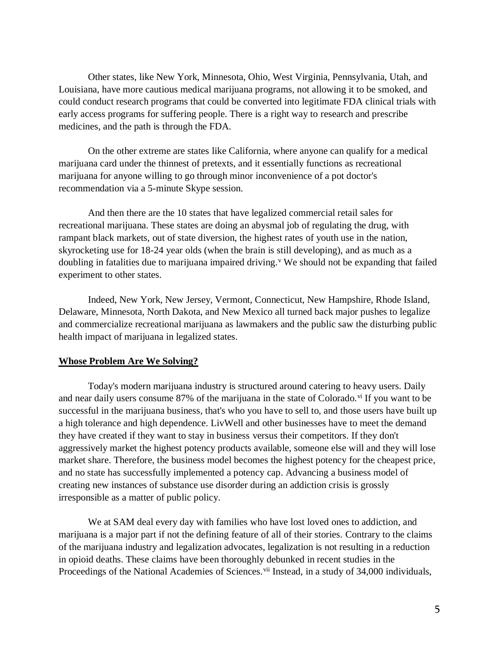Other states, like New York, Minnesota, Ohio, West Virginia, Pennsylvania, Utah, and Louisiana, have more cautious medical marijuana programs, not allowing it to be smoked, and could conduct research programs that could be converted into legitimate FDA clinical trials with early access programs for suffering people. There is a right way to research and prescribe medicines, and the path is through the FDA.

On the other extreme are states like California, where anyone can qualify for a medical marijuana card under the thinnest of pretexts, and it essentially functions as recreational marijuana for anyone willing to go through minor inconvenience of a pot doctor's recommendation via a 5-minute Skype session.

And then there are the 10 states that have legalized commercial retail sales for recreational marijuana. These states are doing an abysmal job of regulating the drug, with rampant black markets, out of state diversion, the highest rates of youth use in the nation, skyrocketing use for 18-24 year olds (when the brain is still developing), and as much as a doubling in fatalities due to marijuana impaired driving.<sup>v</sup> We should not be expanding that failed experiment to other states.

Indeed, New York, New Jersey, Vermont, Connecticut, New Hampshire, Rhode Island, Delaware, Minnesota, North Dakota, and New Mexico all turned back major pushes to legalize and commercialize recreational marijuana as lawmakers and the public saw the disturbing public health impact of marijuana in legalized states.

## **Whose Problem Are We Solving?**

Today's modern marijuana industry is structured around catering to heavy users. Daily and near daily users consume 87% of the marijuana in the state of Colorado.<sup>vi</sup> If you want to be successful in the marijuana business, that's who you have to sell to, and those users have built up a high tolerance and high dependence. LivWell and other businesses have to meet the demand they have created if they want to stay in business versus their competitors. If they don't aggressively market the highest potency products available, someone else will and they will lose market share. Therefore, the business model becomes the highest potency for the cheapest price, and no state has successfully implemented a potency cap. Advancing a business model of creating new instances of substance use disorder during an addiction crisis is grossly irresponsible as a matter of public policy.

We at SAM deal every day with families who have lost loved ones to addiction, and marijuana is a major part if not the defining feature of all of their stories. Contrary to the claims of the marijuana industry and legalization advocates, legalization is not resulting in a reduction in opioid deaths. These claims have been thoroughly debunked in recent studies in the Proceedings of the National Academies of Sciences.<sup>vii</sup> Instead, in a study of 34,000 individuals,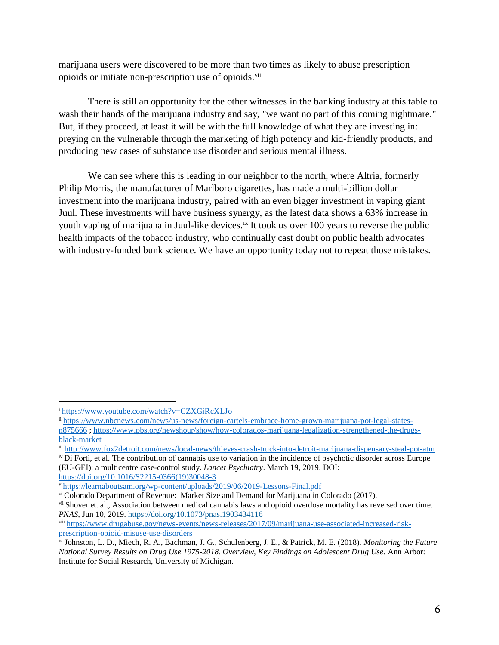marijuana users were discovered to be more than two times as likely to abuse prescription opioids or initiate non-prescription use of opioids.<sup>viii</sup>

There is still an opportunity for the other witnesses in the banking industry at this table to wash their hands of the marijuana industry and say, "we want no part of this coming nightmare." But, if they proceed, at least it will be with the full knowledge of what they are investing in: preying on the vulnerable through the marketing of high potency and kid-friendly products, and producing new cases of substance use disorder and serious mental illness.

We can see where this is leading in our neighbor to the north, where Altria, formerly Philip Morris, the manufacturer of Marlboro cigarettes, has made a multi-billion dollar investment into the marijuana industry, paired with an even bigger investment in vaping giant Juul. These investments will have business synergy, as the latest data shows a 63% increase in youth vaping of marijuana in Juul-like devices.<sup>ix</sup> It took us over 100 years to reverse the public health impacts of the tobacco industry, who continually cast doubt on public health advocates with industry-funded bunk science. We have an opportunity today not to repeat those mistakes.

 $\overline{a}$ 

<sup>i</sup> <https://www.youtube.com/watch?v=CZXGiRcXLJo>

ii [https://www.nbcnews.com/news/us-news/foreign-cartels-embrace-home-grown-marijuana-pot-legal-states](https://www.nbcnews.com/news/us-news/foreign-cartels-embrace-home-grown-marijuana-pot-legal-states-n875666)[n875666](https://www.nbcnews.com/news/us-news/foreign-cartels-embrace-home-grown-marijuana-pot-legal-states-n875666) ; [https://www.pbs.org/newshour/show/how-colorados-marijuana-legalization-strengthened-the-drugs](https://www.pbs.org/newshour/show/how-colorados-marijuana-legalization-strengthened-the-drugs-black-market)[black-market](https://www.pbs.org/newshour/show/how-colorados-marijuana-legalization-strengthened-the-drugs-black-market)

iii <http://www.fox2detroit.com/news/local-news/thieves-crash-truck-into-detroit-marijuana-dispensary-steal-pot-atm>

iv Di Forti, et al. The contribution of cannabis use to variation in the incidence of psychotic disorder across Europe (EU-GEI): a multicentre case-control study. *Lancet Psychiatry*. March 19, 2019. DOI: [https://doi.org/10.1016/S2215-0366\(19\)30048-3](https://doi.org/10.1016/S2215-0366(19)30048-3)

<sup>v</sup> <https://learnaboutsam.org/wp-content/uploads/2019/06/2019-Lessons-Final.pdf>

vi Colorado Department of Revenue: Market Size and Demand for Marijuana in Colorado (2017).

vii Shover et. al., Association between medical cannabis laws and opioid overdose mortality has reversed over time. *PNAS*, Jun 10, 2019.<https://doi.org/10.1073/pnas.1903434116>

viii [https://www.drugabuse.gov/news-events/news-releases/2017/09/marijuana-use-associated-increased-risk](https://www.drugabuse.gov/news-events/news-releases/2017/09/marijuana-use-associated-increased-risk-prescription-opioid-misuse-use-disorders)[prescription-opioid-misuse-use-disorders](https://www.drugabuse.gov/news-events/news-releases/2017/09/marijuana-use-associated-increased-risk-prescription-opioid-misuse-use-disorders)

ix Johnston, L. D., Miech, R. A., Bachman, J. G., Schulenberg, J. E., & Patrick, M. E. (2018). *Monitoring the Future National Survey Results on Drug Use 1975-2018. Overview, Key Findings on Adolescent Drug Use.* Ann Arbor: Institute for Social Research, University of Michigan.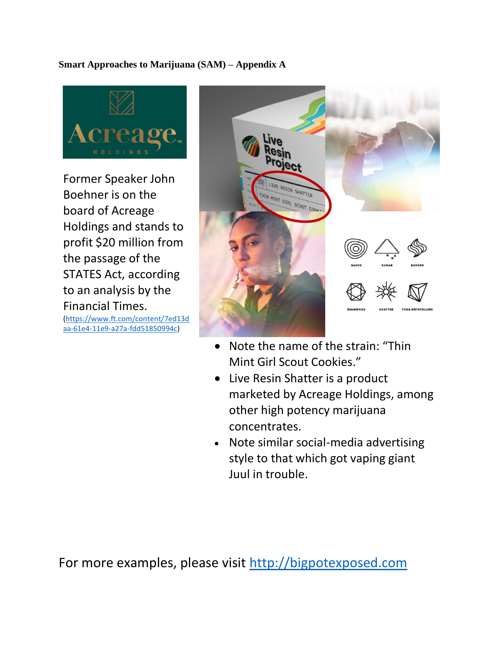# **Smart Approaches to Marijuana (SAM) – Appendix A**



Former Speaker John Boehner is on the board of Acreage Holdings and stands to profit \$20 million from the passage of the STATES Act, according to an analysis by the Financial Times. [\(https://www.ft.com/content/7ed13d](https://www.ft.com/content/7ed13daa-61e4-11e9-a27a-fdd51850994c) [aa-61e4-11e9-a27a-fdd51850994c\)](https://www.ft.com/content/7ed13daa-61e4-11e9-a27a-fdd51850994c)



- Note the name of the strain: "Thin Mint Girl Scout Cookies."
- Live Resin Shatter is a product marketed by Acreage Holdings, among other high potency marijuana concentrates.
- Note similar social-media advertising style to that which got vaping giant Juul in trouble.

For more examples, please visit [http://bigpotexposed.com](http://bigpotexposed.com/)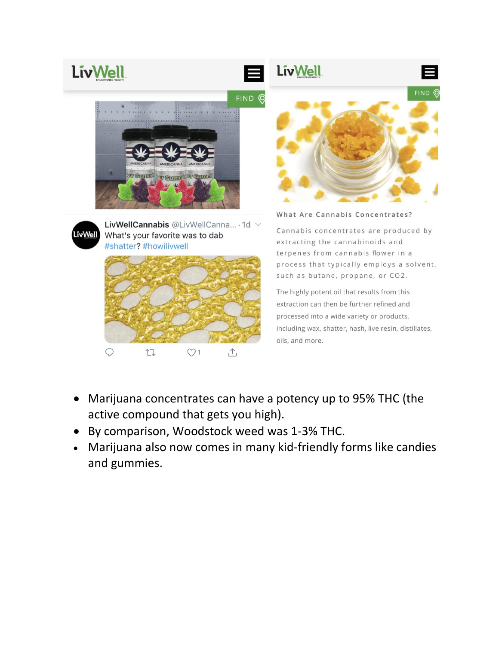



What Are Cannabis Concentrates?

Cannabis concentrates are produced by extracting the cannabinoids and terpenes from cannabis flower in a process that typically employs a solvent, such as butane, propane, or CO2.

The highly potent oil that results from this extraction can then be further refined and processed into a wide variety or products, including wax, shatter, hash, live resin, distillates, oils, and more.

• Marijuana concentrates can have a potency up to 95% THC (the active compound that gets you high).

 $\uparrow$ 

• By comparison, Woodstock weed was 1-3% THC.

 $O<sub>1</sub>$ 

 $\bigcirc$ 

 $\mathbb{C}$ 

• Marijuana also now comes in many kid-friendly forms like candies and gummies.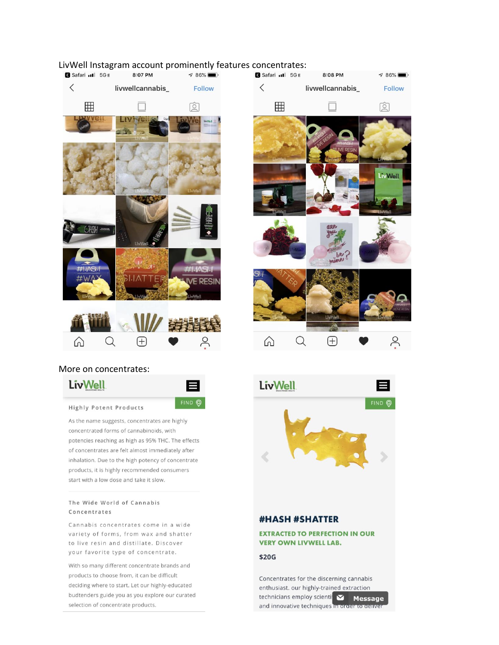# $\langle$ livwellcannabis **Follow** 冊 ⊺₫

# LivWell Instagram account prominently features concentrates:<br>
S Safari JUL 5GE 8:07 PM



E

FIND Q

### More on concentrates:



**Highly Potent Products** 

As the name suggests, concentrates are highly concentrated forms of cannabinoids, with potencies reaching as high as 95% THC. The effects of concentrates are felt almost immediately after inhalation. Due to the high potency of concentrate products, it is highly recommended consumers start with a low dose and take it slow.

#### The Wide World of Cannabis Concentrates

Cannabis concentrates come in a wide variety of forms, from wax and shatter to live resin and distillate. Discover your favorite type of concentrate.

With so many different concentrate brands and products to choose from, it can be difficult deciding where to start. Let our highly-educated budtenders guide you as you explore our curated selection of concentrate products.





### **#HASH #SHATTER**

### **EXTRACTED TO PERFECTION IN OUR VERY OWN LIVWELL LAB.**

### \$20G

Concentrates for the discerning cannabis enthusiast. our highly-trained extraction technicians employ scienti and innovative techniques in order to deliver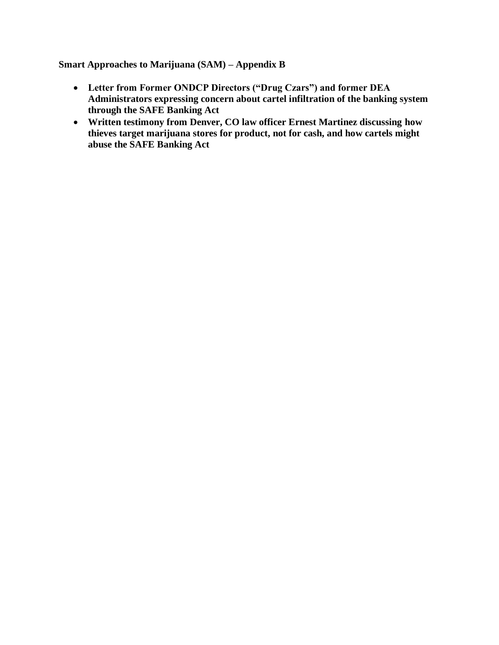**Smart Approaches to Marijuana (SAM) – Appendix B**

- **Letter from Former ONDCP Directors ("Drug Czars") and former DEA Administrators expressing concern about cartel infiltration of the banking system through the SAFE Banking Act**
- **Written testimony from Denver, CO law officer Ernest Martinez discussing how thieves target marijuana stores for product, not for cash, and how cartels might abuse the SAFE Banking Act**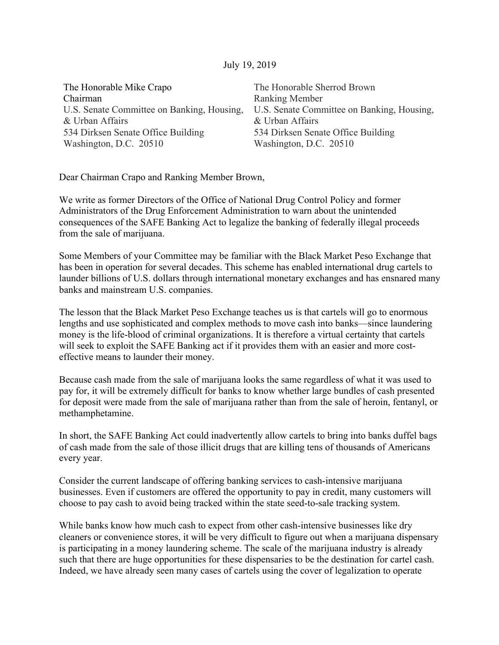# July 19, 2019

| The Honorable Mike Crapo                   | The Honorable Sherrod Brown                |
|--------------------------------------------|--------------------------------------------|
| Chairman                                   | <b>Ranking Member</b>                      |
| U.S. Senate Committee on Banking, Housing, | U.S. Senate Committee on Banking, Housing, |
| & Urban Affairs                            | & Urban Affairs                            |
| 534 Dirksen Senate Office Building         | 534 Dirksen Senate Office Building         |
| Washington, D.C. 20510                     | Washington, D.C. 20510                     |

Dear Chairman Crapo and Ranking Member Brown,

We write as former Directors of the Office of National Drug Control Policy and former Administrators of the Drug Enforcement Administration to warn about the unintended consequences of the SAFE Banking Act to legalize the banking of federally illegal proceeds from the sale of marijuana.

Some Members of your Committee may be familiar with the Black Market Peso Exchange that has been in operation for several decades. This scheme has enabled international drug cartels to launder billions of U.S. dollars through international monetary exchanges and has ensnared many banks and mainstream U.S. companies.

The lesson that the Black Market Peso Exchange teaches us is that cartels will go to enormous lengths and use sophisticated and complex methods to move cash into banks—since laundering money is the life-blood of criminal organizations. It is therefore a virtual certainty that cartels will seek to exploit the SAFE Banking act if it provides them with an easier and more costeffective means to launder their money.

Because cash made from the sale of marijuana looks the same regardless of what it was used to pay for, it will be extremely difficult for banks to know whether large bundles of cash presented for deposit were made from the sale of marijuana rather than from the sale of heroin, fentanyl, or methamphetamine.

In short, the SAFE Banking Act could inadvertently allow cartels to bring into banks duffel bags of cash made from the sale of those illicit drugs that are killing tens of thousands of Americans every year.

Consider the current landscape of offering banking services to cash-intensive marijuana businesses. Even if customers are offered the opportunity to pay in credit, many customers will choose to pay cash to avoid being tracked within the state seed-to-sale tracking system.

While banks know how much cash to expect from other cash-intensive businesses like dry cleaners or convenience stores, it will be very difficult to figure out when a marijuana dispensary is participating in a money laundering scheme. The scale of the marijuana industry is already such that there are huge opportunities for these dispensaries to be the destination for cartel cash. Indeed, we have already seen many cases of cartels using the cover of legalization to operate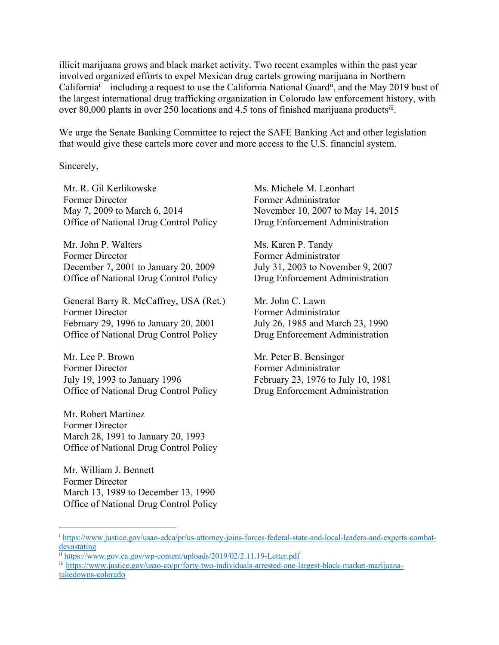illicit marijuana grows and black market activity. Two recent examples within the past year involved organized efforts to expel Mexican drug cartels growing marijuana in Northern California<sup>i</sup>—including a request to use the California National Guard<sup>ii</sup>, and the May 2019 bust of the largest international drug trafficking organization in Colorado law enforcement history, with over 80,000 plants in over 250 locations and 4.5 tons of finished marijuana productsiii.

We urge the Senate Banking Committee to reject the SAFE Banking Act and other legislation that would give these cartels more cover and more access to the U.S. financial system.

Sincerely,

Mr. R. Gil Kerlikowske Former Director May 7, 2009 to March 6, 2014 Office of National Drug Control Policy

Mr. John P. Walters Former Director December 7, 2001 to January 20, 2009 Office of National Drug Control Policy

General Barry R. McCaffrey, USA (Ret.) Former Director February 29, 1996 to January 20, 2001 Office of National Drug Control Policy

Mr. Lee P. Brown Former Director July 19, 1993 to January 1996 Office of National Drug Control Policy

Mr. Robert Martinez Former Director March 28, 1991 to January 20, 1993 Office of National Drug Control Policy

Mr. William J. Bennett Former Director March 13, 1989 to December 13, 1990 Office of National Drug Control Policy Ms. Michele M. Leonhart Former Administrator November 10, 2007 to May 14, 2015 Drug Enforcement Administration

Ms. Karen P. Tandy Former Administrator July 31, 2003 to November 9, 2007 Drug Enforcement Administration

Mr. John C. Lawn Former Administrator July 26, 1985 and March 23, 1990 Drug Enforcement Administration

Mr. Peter B. Bensinger Former Administrator February 23, 1976 to July 10, 1981 Drug Enforcement Administration

<sup>&</sup>lt;sup>i</sup> https://www.justice.gov/usao-edca/pr/us-attorney-joins-forces-federal-state-and-local-leaders-and-experts-combatdevastating

ii https://www.gov.ca.gov/wp-content/uploads/2019/02/2.11.19-Letter.pdf

iii https://www.justice.gov/usao-co/pr/forty-two-individuals-arrested-one-largest-black-market-marijuanatakedowns-colorado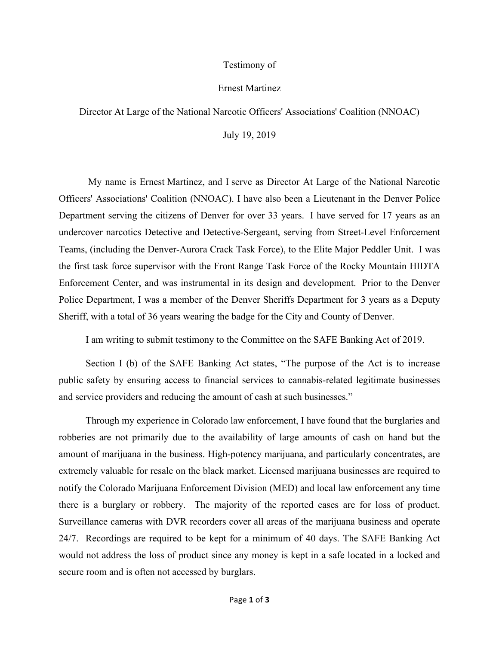### Testimony of

### Ernest Martinez

Director At Large of the National Narcotic Officers' Associations' Coalition (NNOAC)

July 19, 2019

My name is Ernest Martinez, and I serve as Director At Large of the National Narcotic Officers' Associations' Coalition (NNOAC). I have also been a Lieutenant in the Denver Police Department serving the citizens of Denver for over 33 years. I have served for 17 years as an undercover narcotics Detective and Detective-Sergeant, serving from Street-Level Enforcement Teams, (including the Denver-Aurora Crack Task Force), to the Elite Major Peddler Unit. I was the first task force supervisor with the Front Range Task Force of the Rocky Mountain HIDTA Enforcement Center, and was instrumental in its design and development. Prior to the Denver Police Department, I was a member of the Denver Sheriffs Department for 3 years as a Deputy Sheriff, with a total of 36 years wearing the badge for the City and County of Denver.

I am writing to submit testimony to the Committee on the SAFE Banking Act of 2019.

 Section I (b) of the SAFE Banking Act states, "The purpose of the Act is to increase public safety by ensuring access to financial services to cannabis-related legitimate businesses and service providers and reducing the amount of cash at such businesses."

 Through my experience in Colorado law enforcement, I have found that the burglaries and robberies are not primarily due to the availability of large amounts of cash on hand but the amount of marijuana in the business. High-potency marijuana, and particularly concentrates, are extremely valuable for resale on the black market. Licensed marijuana businesses are required to notify the Colorado Marijuana Enforcement Division (MED) and local law enforcement any time there is a burglary or robbery. The majority of the reported cases are for loss of product. Surveillance cameras with DVR recorders cover all areas of the marijuana business and operate 24/7. Recordings are required to be kept for a minimum of 40 days. The SAFE Banking Act would not address the loss of product since any money is kept in a safe located in a locked and secure room and is often not accessed by burglars.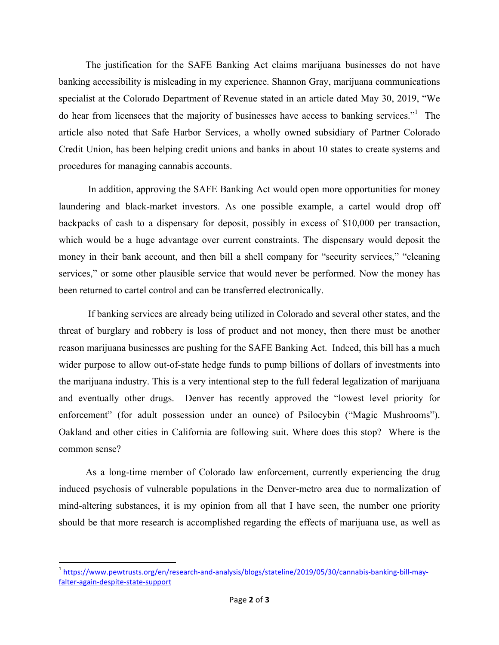The justification for the SAFE Banking Act claims marijuana businesses do not have banking accessibility is misleading in my experience. Shannon Gray, marijuana communications specialist at the Colorado Department of Revenue stated in an article dated May 30, 2019, "We do hear from licensees that the majority of businesses have access to banking services."<sup>1</sup> The article also noted that Safe Harbor Services, a wholly owned subsidiary of Partner Colorado Credit Union, has been helping credit unions and banks in about 10 states to create systems and procedures for managing cannabis accounts.

In addition, approving the SAFE Banking Act would open more opportunities for money laundering and black-market investors. As one possible example, a cartel would drop off backpacks of cash to a dispensary for deposit, possibly in excess of \$10,000 per transaction, which would be a huge advantage over current constraints. The dispensary would deposit the money in their bank account, and then bill a shell company for "security services," "cleaning services," or some other plausible service that would never be performed. Now the money has been returned to cartel control and can be transferred electronically.

 If banking services are already being utilized in Colorado and several other states, and the threat of burglary and robbery is loss of product and not money, then there must be another reason marijuana businesses are pushing for the SAFE Banking Act. Indeed, this bill has a much wider purpose to allow out-of-state hedge funds to pump billions of dollars of investments into the marijuana industry. This is a very intentional step to the full federal legalization of marijuana and eventually other drugs. Denver has recently approved the "lowest level priority for enforcement" (for adult possession under an ounce) of Psilocybin ("Magic Mushrooms"). Oakland and other cities in California are following suit. Where does this stop? Where is the common sense?

 As a long-time member of Colorado law enforcement, currently experiencing the drug induced psychosis of vulnerable populations in the Denver-metro area due to normalization of mind-altering substances, it is my opinion from all that I have seen, the number one priority should be that more research is accomplished regarding the effects of marijuana use, as well as

<u> 1989 - Johann Stein, fransk politik (d. 1989)</u>

<sup>&</sup>lt;sup>1</sup> https://www.pewtrusts.org/en/research-and-analysis/blogs/stateline/2019/05/30/cannabis-banking-bill-mayfalter-again-despite-state-support